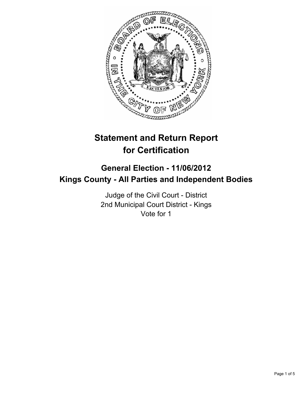

# **Statement and Return Report for Certification**

## **General Election - 11/06/2012 Kings County - All Parties and Independent Bodies**

Judge of the Civil Court - District 2nd Municipal Court District - Kings Vote for 1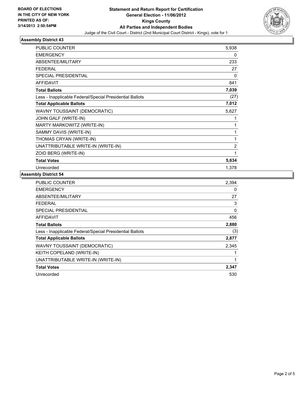

## **Assembly District 43**

| <b>PUBLIC COUNTER</b>                                    | 5,938          |
|----------------------------------------------------------|----------------|
| <b>EMERGENCY</b>                                         | 0              |
| <b>ABSENTEE/MILITARY</b>                                 | 233            |
| <b>FEDERAL</b>                                           | 27             |
| SPECIAL PRESIDENTIAL                                     | 0              |
| <b>AFFIDAVIT</b>                                         | 841            |
| <b>Total Ballots</b>                                     | 7,039          |
| Less - Inapplicable Federal/Special Presidential Ballots | (27)           |
| <b>Total Applicable Ballots</b>                          | 7,012          |
| WAVNY TOUSSAINT (DEMOCRATIC)                             | 5,627          |
| JOHN GALF (WRITE-IN)                                     |                |
| MARTY MARKOWITZ (WRITE-IN)                               |                |
| SAMMY DAVIS (WRITE-IN)                                   | 1              |
| THOMAS CRYAN (WRITE-IN)                                  | 1              |
| UNATTRIBUTABLE WRITE-IN (WRITE-IN)                       | $\overline{2}$ |
| ZOID BERG (WRITE-IN)                                     | 1              |
| <b>Total Votes</b>                                       | 5,634          |
| Unrecorded                                               | 1,378          |

#### **Assembly District 54**

| <b>PUBLIC COUNTER</b>                                    | 2,394 |
|----------------------------------------------------------|-------|
| <b>EMERGENCY</b>                                         | 0     |
| ABSENTEE/MILITARY                                        | 27    |
| FEDERAL                                                  | 3     |
| <b>SPECIAL PRESIDENTIAL</b>                              | 0     |
| AFFIDAVIT                                                | 456   |
| <b>Total Ballots</b>                                     | 2,880 |
| Less - Inapplicable Federal/Special Presidential Ballots | (3)   |
| <b>Total Applicable Ballots</b>                          | 2,877 |
| WAVNY TOUSSAINT (DEMOCRATIC)                             | 2,345 |
| KEITH COPELAND (WRITE-IN)                                |       |
| UNATTRIBUTABLE WRITE-IN (WRITE-IN)                       | 1     |
| <b>Total Votes</b>                                       | 2,347 |
| Unrecorded                                               | 530   |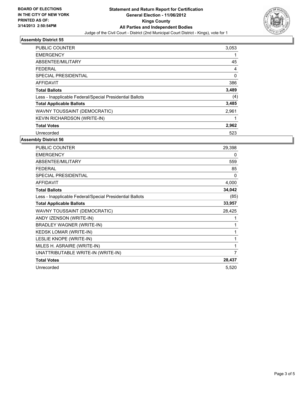

## **Assembly District 55**

| <b>PUBLIC COUNTER</b>                                    | 3,053       |
|----------------------------------------------------------|-------------|
| <b>EMERGENCY</b>                                         | 1           |
| ABSENTEE/MILITARY                                        | 45          |
| <b>FEDERAL</b>                                           | 4           |
| SPECIAL PRESIDENTIAL                                     | $\mathbf 0$ |
| <b>AFFIDAVIT</b>                                         | 386         |
| <b>Total Ballots</b>                                     | 3,489       |
| Less - Inapplicable Federal/Special Presidential Ballots | (4)         |
| <b>Total Applicable Ballots</b>                          | 3,485       |
| WAVNY TOUSSAINT (DEMOCRATIC)                             | 2,961       |
| <b>KEVIN RICHARDSON (WRITE-IN)</b>                       | 1           |
| <b>Total Votes</b>                                       | 2,962       |
| Unrecorded                                               | 523         |

## **Assembly District 56**

| <b>PUBLIC COUNTER</b>                                    | 29,398 |
|----------------------------------------------------------|--------|
| <b>EMERGENCY</b>                                         | 0      |
| ABSENTEE/MILITARY                                        | 559    |
| <b>FEDERAL</b>                                           | 85     |
| <b>SPECIAL PRESIDENTIAL</b>                              | 0      |
| <b>AFFIDAVIT</b>                                         | 4,000  |
| <b>Total Ballots</b>                                     | 34,042 |
| Less - Inapplicable Federal/Special Presidential Ballots | (85)   |
| <b>Total Applicable Ballots</b>                          | 33,957 |
| WAVNY TOUSSAINT (DEMOCRATIC)                             | 28,425 |
| ANDY IZENSON (WRITE-IN)                                  | 1      |
| <b>BRADLEY WAGNER (WRITE-IN)</b>                         | 1      |
| <b>KEDSK LOMAR (WRITE-IN)</b>                            | 1      |
| LESLIE KNOPE (WRITE-IN)                                  | 1      |
| MILES H. ASRAIRE (WRITE-IN)                              | 1      |
| UNATTRIBUTABLE WRITE-IN (WRITE-IN)                       | 7      |
| <b>Total Votes</b>                                       | 28,437 |
| Unrecorded                                               | 5,520  |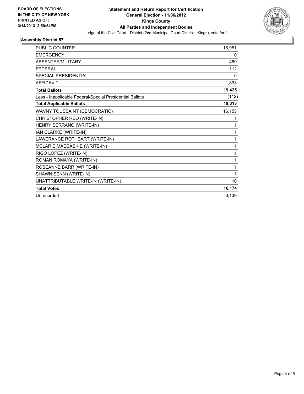

## **Assembly District 57**

| <b>PUBLIC COUNTER</b>                                    | 16,951 |
|----------------------------------------------------------|--------|
| <b>EMERGENCY</b>                                         | 0      |
| ABSENTEE/MILITARY                                        | 469    |
| <b>FEDERAL</b>                                           | 112    |
| <b>SPECIAL PRESIDENTIAL</b>                              | 0      |
| <b>AFFIDAVIT</b>                                         | 1,893  |
| <b>Total Ballots</b>                                     | 19,425 |
| Less - Inapplicable Federal/Special Presidential Ballots | (112)  |
| <b>Total Applicable Ballots</b>                          | 19,313 |
| WAVNY TOUSSAINT (DEMOCRATIC)                             | 16,155 |
| CHRISTOPHER REO (WRITE-IN)                               | 1      |
| HENRY SERRANO (WRITE-IN)                                 | 1      |
| IAN CLARKE (WRITE-IN)                                    | 1      |
| LAWERANCE ROTHBART (WRITE-IN)                            | 1      |
| MCLARIE MAECASKIE (WRITE-IN)                             | 1      |
| RIGO LOPEZ (WRITE-IN)                                    | 1      |
| ROMAN ROMAYA (WRITE-IN)                                  | 1      |
| ROSEANNE BARR (WRITE-IN)                                 | 1      |
| SHAWN SENN (WRITE-IN)                                    | 1      |
| UNATTRIBUTABLE WRITE-IN (WRITE-IN)                       | 10     |
| <b>Total Votes</b>                                       | 16,174 |
| Unrecorded                                               | 3,139  |